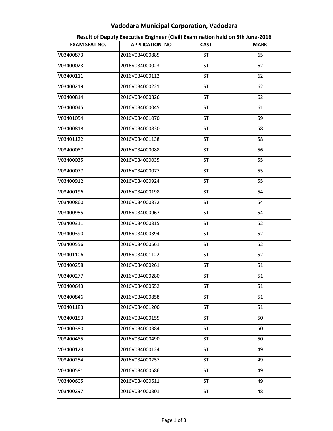## Vadodara Municipal Corporation, Vadodara

| <b>EXAM SEAT NO.</b> | APPLICATION_NO | <b>CAST</b> | <b>MARK</b> |
|----------------------|----------------|-------------|-------------|
| V03400873            | 2016V034000885 | <b>ST</b>   | 65          |
| V03400023            | 2016V034000023 | <b>ST</b>   | 62          |
| V03400111            | 2016V034000112 | <b>ST</b>   | 62          |
| V03400219            | 2016V034000221 | <b>ST</b>   | 62          |
| V03400814            | 2016V034000826 | <b>ST</b>   | 62          |
| V03400045            | 2016V034000045 | ST          | 61          |
| V03401054            | 2016V034001070 | <b>ST</b>   | 59          |
| V03400818            | 2016V034000830 | ST          | 58          |
| V03401122            | 2016V034001138 | <b>ST</b>   | 58          |
| V03400087            | 2016V034000088 | <b>ST</b>   | 56          |
| V03400035            | 2016V034000035 | ST          | 55          |
| V03400077            | 2016V034000077 | <b>ST</b>   | 55          |
| V03400912            | 2016V034000924 | <b>ST</b>   | 55          |
| V03400196            | 2016V034000198 | ST          | 54          |
| V03400860            | 2016V034000872 | <b>ST</b>   | 54          |
| V03400955            | 2016V034000967 | ST          | 54          |
| V03400311            | 2016V034000315 | ST          | 52          |
| V03400390            | 2016V034000394 | ST          | 52          |
| V03400556            | 2016V034000561 | ST          | 52          |
| V03401106            | 2016V034001122 | <b>ST</b>   | 52          |
| V03400258            | 2016V034000261 | <b>ST</b>   | 51          |
| V03400277            | 2016V034000280 | ST          | 51          |
| V03400643            | 2016V034000652 | ST          | 51          |
| V03400846            | 2016V034000858 | ST          | 51          |
| V03401183            | 2016V034001200 | ST          | 51          |
| V03400153            | 2016V034000155 | <b>ST</b>   | 50          |
| V03400380            | 2016V034000384 | <b>ST</b>   | 50          |
| V03400485            | 2016V034000490 | ST          | 50          |
| V03400123            | 2016V034000124 | <b>ST</b>   | 49          |
| V03400254            | 2016V034000257 | <b>ST</b>   | 49          |
| V03400581            | 2016V034000586 | ST          | 49          |
| V03400605            | 2016V034000611 | <b>ST</b>   | 49          |
| V03400297            | 2016V034000301 | ST          | 48          |

Result of Deputy Executive Engineer (Civil) Examination held on 5th June-2016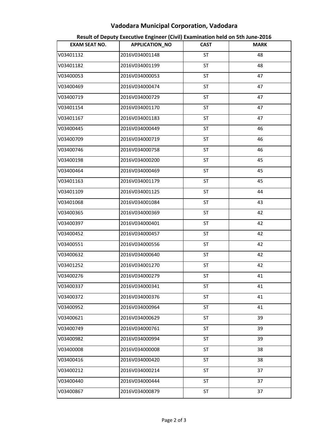## Vadodara Municipal Corporation, Vadodara

| <b>EXAM SEAT NO.</b> | APPLICATION_NO | <b>CAST</b> | <b>MARK</b> |
|----------------------|----------------|-------------|-------------|
| V03401132            | 2016V034001148 | ST          | 48          |
| V03401182            | 2016V034001199 | <b>ST</b>   | 48          |
| V03400053            | 2016V034000053 | ST          | 47          |
| V03400469            | 2016V034000474 | <b>ST</b>   | 47          |
| V03400719            | 2016V034000729 | ST          | 47          |
| V03401154            | 2016V034001170 | ST          | 47          |
| V03401167            | 2016V034001183 | ST          | 47          |
| V03400445            | 2016V034000449 | ST          | 46          |
| V03400709            | 2016V034000719 | ST          | 46          |
| V03400746            | 2016V034000758 | ST          | 46          |
| V03400198            | 2016V034000200 | ST          | 45          |
| V03400464            | 2016V034000469 | ST          | 45          |
| V03401163            | 2016V034001179 | ST          | 45          |
| V03401109            | 2016V034001125 | ST          | 44          |
| V03401068            | 2016V034001084 | <b>ST</b>   | 43          |
| V03400365            | 2016V034000369 | ST          | 42          |
| V03400397            | 2016V034000401 | ST          | 42          |
| V03400452            | 2016V034000457 | <b>ST</b>   | 42          |
| V03400551            | 2016V034000556 | ST          | 42          |
| V03400632            | 2016V034000640 | <b>ST</b>   | 42          |
| V03401252            | 2016V034001270 | ST          | 42          |
| V03400276            | 2016V034000279 | ST          | 41          |
| V03400337            | 2016V034000341 | ST          | 41          |
| V03400372            | 2016V034000376 | ST          | 41          |
| V03400952            | 2016V034000964 | ST          | 41          |
| V03400621            | 2016V034000629 | ST          | 39          |
| V03400749            | 2016V034000761 | <b>ST</b>   | 39          |
| V03400982            | 2016V034000994 | ST          | 39          |
| V03400008            | 2016V034000008 | <b>ST</b>   | 38          |
| V03400416            | 2016V034000420 | <b>ST</b>   | 38          |
| V03400212            | 2016V034000214 | ST          | 37          |
| V03400440            | 2016V034000444 | <b>ST</b>   | 37          |
| V03400867            | 2016V034000879 | ST          | 37          |

Result of Deputy Executive Engineer (Civil) Examination held on 5th June-2016